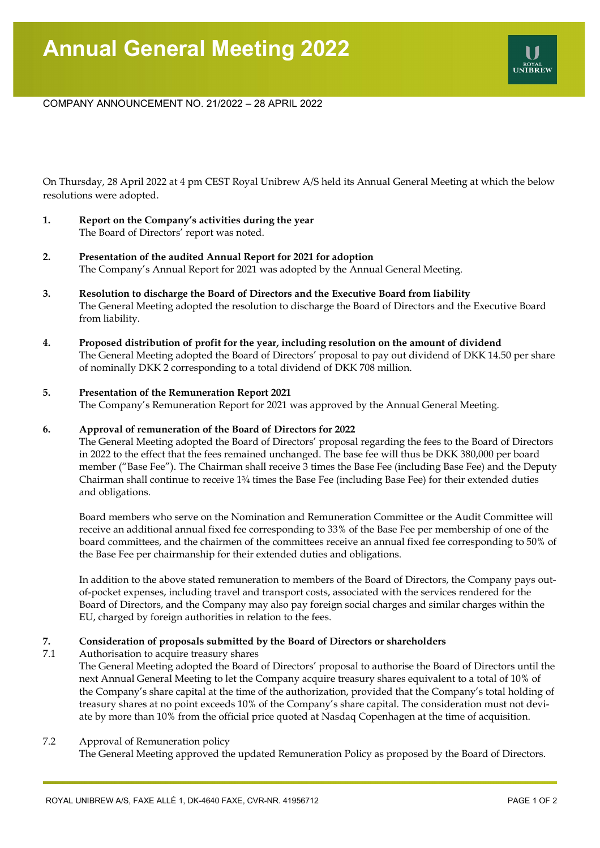## COMPANY ANNOUNCEMENT NO. 21/2022 – 28 APRIL 2022

On Thursday, 28 April 2022 at 4 pm CEST Royal Unibrew A/S held its Annual General Meeting at which the below resolutions were adopted.

- **1. Report on the Company's activities during the year** The Board of Directors' report was noted.
- **2. Presentation of the audited Annual Report for 2021 for adoption**  The Company's Annual Report for 2021 was adopted by the Annual General Meeting.
- **3. Resolution to discharge the Board of Directors and the Executive Board from liability**  The General Meeting adopted the resolution to discharge the Board of Directors and the Executive Board from liability.
- **4. Proposed distribution of profit for the year, including resolution on the amount of dividend** The General Meeting adopted the Board of Directors' proposal to pay out dividend of DKK 14.50 per share of nominally DKK 2 corresponding to a total dividend of DKK 708 million.

#### **5. Presentation of the Remuneration Report 2021**

The Company's Remuneration Report for 2021 was approved by the Annual General Meeting.

#### **6. Approval of remuneration of the Board of Directors for 2022**

The General Meeting adopted the Board of Directors' proposal regarding the fees to the Board of Directors in 2022 to the effect that the fees remained unchanged. The base fee will thus be DKK 380,000 per board member ("Base Fee"). The Chairman shall receive 3 times the Base Fee (including Base Fee) and the Deputy Chairman shall continue to receive 1¾ times the Base Fee (including Base Fee) for their extended duties and obligations.

Board members who serve on the Nomination and Remuneration Committee or the Audit Committee will receive an additional annual fixed fee corresponding to 33% of the Base Fee per membership of one of the board committees, and the chairmen of the committees receive an annual fixed fee corresponding to 50% of the Base Fee per chairmanship for their extended duties and obligations.

In addition to the above stated remuneration to members of the Board of Directors, the Company pays outof-pocket expenses, including travel and transport costs, associated with the services rendered for the Board of Directors, and the Company may also pay foreign social charges and similar charges within the EU, charged by foreign authorities in relation to the fees.

#### **7. Consideration of proposals submitted by the Board of Directors or shareholders**

7.1 Authorisation to acquire treasury shares

The General Meeting adopted the Board of Directors' proposal to authorise the Board of Directors until the next Annual General Meeting to let the Company acquire treasury shares equivalent to a total of 10% of the Company's share capital at the time of the authorization, provided that the Company's total holding of treasury shares at no point exceeds 10% of the Company's share capital. The consideration must not deviate by more than 10% from the official price quoted at Nasdaq Copenhagen at the time of acquisition.

#### 7.2 Approval of Remuneration policy

The General Meeting approved the updated Remuneration Policy as proposed by the Board of Directors.